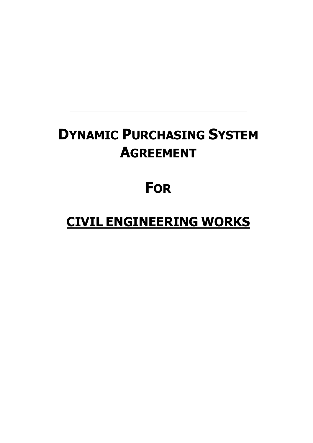# **DYNAMIC PURCHASING SYSTEM AGREEMENT**

# **FOR**

# **CIVIL ENGINEERING WORKS**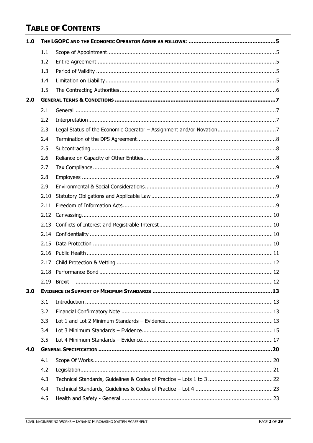# **TABLE OF CONTENTS**

| 1.0 |      |        |  |  |
|-----|------|--------|--|--|
|     | 1.1  |        |  |  |
|     | 1.2  |        |  |  |
|     | 1.3  |        |  |  |
|     | 1.4  |        |  |  |
|     | 1.5  |        |  |  |
| 2.0 |      |        |  |  |
|     | 2.1  |        |  |  |
|     | 2.2  |        |  |  |
|     | 2.3  |        |  |  |
|     | 2.4  |        |  |  |
|     | 2.5  |        |  |  |
|     | 2.6  |        |  |  |
|     | 2.7  |        |  |  |
|     | 2.8  |        |  |  |
|     | 2.9  |        |  |  |
|     | 2.10 |        |  |  |
|     | 2.11 |        |  |  |
|     | 2.12 |        |  |  |
|     | 2.13 |        |  |  |
|     | 2.14 |        |  |  |
|     | 2.15 |        |  |  |
|     | 2.16 |        |  |  |
|     | 2.17 |        |  |  |
|     |      | . 12   |  |  |
|     | 2.19 | Brexit |  |  |
| 3.0 |      |        |  |  |
|     | 3.1  |        |  |  |
|     | 3.2  |        |  |  |
|     | 3.3  |        |  |  |
|     | 3.4  |        |  |  |
|     | 3.5  |        |  |  |
| 4.0 |      |        |  |  |
|     | 4.1  |        |  |  |
|     | 4.2  |        |  |  |
|     | 4.3  |        |  |  |
|     | 4.4  |        |  |  |
|     | 4.5  |        |  |  |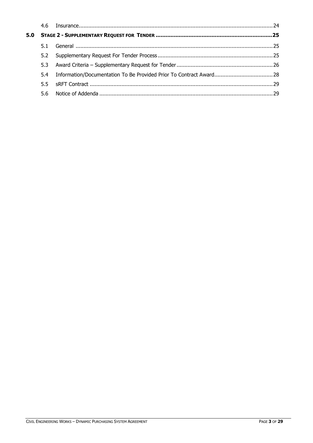| 5.0 |     |  |
|-----|-----|--|
|     | 5.1 |  |
|     | 5.2 |  |
|     | 5.3 |  |
|     | 5.4 |  |
|     | 5.5 |  |
|     | 5.6 |  |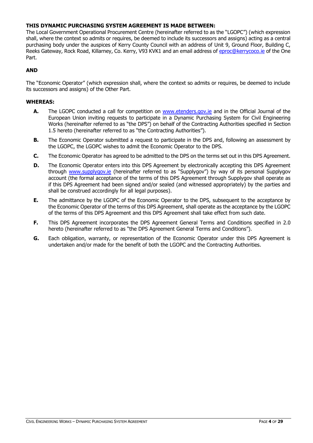# **THIS DYNAMIC PURCHASING SYSTEM AGREEMENT IS MADE BETWEEN:**

The Local Government Operational Procurement Centre (hereinafter referred to as the "LGOPC") (which expression shall, where the context so admits or requires, be deemed to include its successors and assigns) acting as a central purchasing body under the auspices of Kerry County Council with an address of Unit 9, Ground Floor, Building C, Reeks Gateway, Rock Road, Killarney, Co. Kerry, V93 KVK1 and an email address of [eproc@kerrycoco.ie](mailto:eproc@kerrycoco.ie) of the One Part.

# **AND**

The "Economic Operator" (which expression shall, where the context so admits or requires, be deemed to include its successors and assigns) of the Other Part.

# **WHEREAS:**

- **A.** The LGOPC conducted a call for competition on [www.etenders.gov.ie](http://www.etenders.gov.ie/) and in the Official Journal of the European Union inviting requests to participate in a Dynamic Purchasing System for Civil Engineering Works (hereinafter referred to as "the DPS") on behalf of the Contracting Authorities specified in Section 1.5 hereto (hereinafter referred to as "the Contracting Authorities").
- **B.** The Economic Operator submitted a request to participate in the DPS and, following an assessment by the LGOPC, the LGOPC wishes to admit the Economic Operator to the DPS.
- **C.** The Economic Operator has agreed to be admitted to the DPS on the terms set out in this DPS Agreement.
- **D.** The Economic Operator enters into this DPS Agreement by electronically accepting this DPS Agreement through [www.supplygov.ie](http://www.supplygov.ie/) (hereinafter referred to as "Supplygov") by way of its personal Supplygov account (the formal acceptance of the terms of this DPS Agreement through Supplygov shall operate as if this DPS Agreement had been signed and/or sealed (and witnessed appropriately) by the parties and shall be construed accordingly for all legal purposes).
- **E.** The admittance by the LGOPC of the Economic Operator to the DPS, subsequent to the acceptance by the Economic Operator of the terms of this DPS Agreement, shall operate as the acceptance by the LGOPC of the terms of this DPS Agreement and this DPS Agreement shall take effect from such date.
- **F.** This DPS Agreement incorporates the DPS Agreement General Terms and Conditions specified in 2.0 hereto (hereinafter referred to as "the DPS Agreement General Terms and Conditions").
- **G.** Each obligation, warranty, or representation of the Economic Operator under this DPS Agreement is undertaken and/or made for the benefit of both the LGOPC and the Contracting Authorities.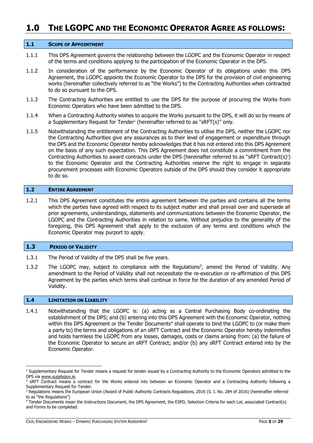# <span id="page-4-0"></span>**1.0 THE LGOPC AND THE ECONOMIC OPERATOR AGREE AS FOLLOWS:**

#### <span id="page-4-1"></span>**1.1 SCOPE OF APPOINTMENT**

- 1.1.1 This DPS Agreement governs the relationship between the LGOPC and the Economic Operator in respect of the terms and conditions applying to the participation of the Economic Operator in the DPS.
- 1.1.2 In consideration of the performance by the Economic Operator of its obligations under this DPS Agreement, the LGOPC appoints the Economic Operator to the DPS for the provision of civil engineering works (hereinafter collectively referred to as "the Works") to the Contracting Authorities when contracted to do so pursuant to the DPS.
- 1.1.3 The Contracting Authorities are entitled to use the DPS for the purpose of procuring the Works from Economic Operators who have been admitted to the DPS.
- 1.1.4 When a Contracting Authority wishes to acquire the Works pursuant to the DPS, it will do so by means of a Supplementary Request for Tender<sup>1</sup> (hereinafter referred to as "sRFT(s)" only.
- 1.1.5 Notwithstanding the entitlement of the Contracting Authorities to utilise the DPS, neither the LGOPC nor the Contracting Authorities give any assurances as to their level of engagement or expenditure through the DPS and the Economic Operator hereby acknowledges that it has not entered into this DPS Agreement on the basis of any such expectation. This DPS Agreement does not constitute a commitment from the Contracting Authorities to award contracts under the DPS (hereinafter referred to as "sRFT Contract(s)?) to the Economic Operator and the Contracting Authorities reserve the right to engage in separate procurement processes with Economic Operators outside of the DPS should they consider it appropriate to do so.

#### <span id="page-4-2"></span>**1.2 ENTIRE AGREEMENT**

1.2.1 This DPS Agreement constitutes the entire agreement between the parties and contains all the terms which the parties have agreed with respect to its subject matter and shall prevail over and supersede all prior agreements, understandings, statements and communications between the Economic Operator, the LGOPC and the Contracting Authorities in relation to same. Without prejudice to the generality of the foregoing, this DPS Agreement shall apply to the exclusion of any terms and conditions which the Economic Operator may purport to apply.

#### <span id="page-4-3"></span>**1.3 PERIOD OF VALIDITY**

- 1.3.1 The Period of Validity of the DPS shall be five years.
- 1.3.2 The LGOPC may, subject to compliance with the Regulations<sup>3</sup>, amend the Period of Validity. Any amendment to the Period of Validity shall not necessitate the re-execution or re-affirmation of this DPS Agreement by the parties which terms shall continue in force for the duration of any amended Period of Validity.

#### <span id="page-4-4"></span>**1.4 LIMITATION ON LIABILITY**

1.4.1 Notwithstanding that the LGOPC is: (a) acting as a Central Purchasing Body co-ordinating the establishment of the DPS; and (b) entering into this DPS Agreement with the Economic Operator, nothing within this DPS Agreement or the Tender Documents<sup>4</sup> shall operate to bind the LGOPC to (or make them a party to) the terms and obligations of an sRFT Contract and the Economic Operator hereby indemnifies and holds harmless the LGOPC from any losses, damages, costs or claims arising from: (a) the failure of the Economic Operator to secure an sRFT Contract; and/or (b) any sRFT Contract entered into by the Economic Operator.

<sup>&</sup>lt;sup>1</sup> Supplementary Request for Tender means a request for tender issued by a Contracting Authority to the Economic Operators admitted to the DPS via [www.supplygov.ie.](http://www.supplygov.ie/)

<sup>&</sup>lt;sup>2</sup> SRFT Contract means a contract for the Works entered into between an Economic Operator and a Contracting Authority following a Supplementary Request for Tender.

<sup>&</sup>lt;sup>3</sup> Regulations means the European Union (Award of Public Authority Contracts Regulations, 2016 (S. I. No. 284 of 2016) (hereinafter referred to as "the Regulations")

<sup>4</sup> Tender Documents mean the Instructions Document, the DPS Agreement, the ESPD, Selection Criteria for each Lot, associated Contract(s) and Forms to be completed.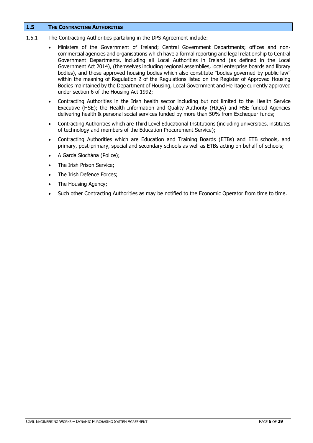## <span id="page-5-0"></span>**1.5 THE CONTRACTING AUTHORITIES**

- 1.5.1 The Contracting Authorities partaking in the DPS Agreement include:
	- Ministers of the Government of Ireland; Central Government Departments; offices and noncommercial agencies and organisations which have a formal reporting and legal relationship to Central Government Departments, including all Local Authorities in Ireland (as defined in the Local Government Act 2014), (themselves including regional assemblies, local enterprise boards and library bodies), and those approved housing bodies which also constitute "bodies governed by public law" within the meaning of Regulation 2 of the Regulations listed on the Register of Approved Housing Bodies maintained by the Department of Housing, Local Government and Heritage currently approved under section 6 of the Housing Act 1992;
	- Contracting Authorities in the Irish health sector including but not limited to the Health Service Executive (HSE); the Health Information and Quality Authority (HIQA) and HSE funded Agencies delivering health & personal social services funded by more than 50% from Exchequer funds;
	- Contracting Authorities which are Third Level Educational Institutions (including universities, institutes of technology and members of the Education Procurement Service);
	- Contracting Authorities which are Education and Training Boards (ETBs) and ETB schools, and primary, post-primary, special and secondary schools as well as ETBs acting on behalf of schools;
	- A Garda Síochána (Police);
	- The Irish Prison Service;
	- The Irish Defence Forces;
	- The Housing Agency;
	- Such other Contracting Authorities as may be notified to the Economic Operator from time to time.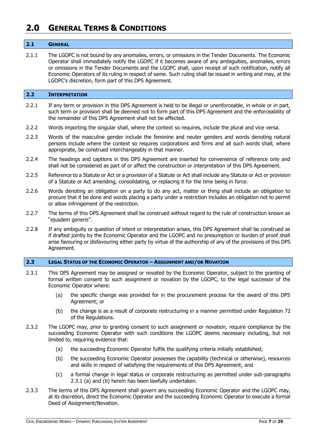# <span id="page-6-0"></span>**2.0 GENERAL TERMS & CONDITIONS**

#### <span id="page-6-1"></span>**2.1 GENERAL**

2.1.1 The LGOPC is not bound by any anomalies, errors, or omissions in the Tender Documents. The Economic Operator shall immediately notify the LGOPC if it becomes aware of any ambiguities, anomalies, errors or omissions in the Tender Documents and the LGOPC shall, upon receipt of such notification, notify all Economic Operators of its ruling in respect of same. Such ruling shall be issued in writing and may, at the LGOPC's discretion, form part of this DPS Agreement.

#### <span id="page-6-2"></span>**2.2 INTERPRETATION**

- 2.2.1 If any term or provision in this DPS Agreement is held to be illegal or unenforceable, in whole or in part, such term or provision shall be deemed not to form part of this DPS Agreement and the enforceability of the remainder of this DPS Agreement shall not be affected.
- 2.2.2 Words importing the singular shall, where the context so requires, include the plural and vice versa.
- 2.2.3 Words of the masculine gender include the feminine and neuter genders and words denoting natural persons include where the context so requires corporations and firms and all such words shall, where appropriate, be construed interchangeably in that manner.
- 2.2.4 The headings and captions in this DPS Agreement are inserted for convenience of reference only and shall not be considered as part of or affect the construction or interpretation of this DPS Agreement.
- 2.2.5 Reference to a Statute or Act or a provision of a Statute or Act shall include any Statute or Act or provision of a Statute or Act amending, consolidating, or replacing it for the time being in force.
- 2.2.6 Words denoting an obligation on a party to do any act, matter or thing shall include an obligation to procure that it be done and words placing a party under a restriction includes an obligation not to permit or allow infringement of the restriction.
- 2.2.7 The terms of this DPS Agreement shall be construed without regard to the rule of construction known as "ejusdem generis".
- 2.2.8 If any ambiguity or question of intent or interpretation arises, this DPS Agreement shall be construed as if drafted jointly by the Economic Operator and the LGOPC and no presumption or burden of proof shall arise favouring or disfavouring either party by virtue of the authorship of any of the provisions of this DPS Agreement.

# <span id="page-6-3"></span>**2.3 LEGAL STATUS OF THE ECONOMIC OPERATOR – ASSIGNMENT AND/OR NOVATION**

- 2.3.1 This DPS Agreement may be assigned or novated by the Economic Operator, subject to the granting of formal written consent to such assignment or novation by the LGOPC, to the legal successor of the Economic Operator where:
	- (a) the specific change was provided for in the procurement process for the award of this DPS Agreement; or
	- (b) the change is as a result of corporate restructuring in a manner permitted under Regulation 72 of the Regulations.
- 2.3.2 The LGOPC may, prior to granting consent to such assignment or novation, require compliance by the succeeding Economic Operator with such conditions the LGOPC deems necessary including, but not limited to, requiring evidence that:
	- (a) the succeeding Economic Operator fulfils the qualifying criteria initially established;
	- (b) the succeeding Economic Operator possesses the capability (technical or otherwise), resources and skills in respect of satisfying the requirements of this DPS Agreement; and
	- (c) a formal change in legal status or corporate restructuring as permitted under sub-paragraphs 2.3.1 (a) and (b) herein has been lawfully undertaken.
- 2.3.3 The terms of this DPS Agreement shall govern any succeeding Economic Operator and the LGOPC may, at its discretion, direct the Economic Operator and the succeeding Economic Operator to execute a formal Deed of Assignment/Novation.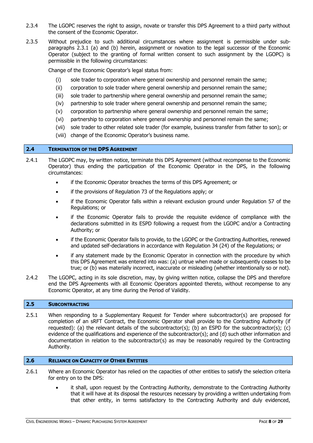- 2.3.4 The LGOPC reserves the right to assign, novate or transfer this DPS Agreement to a third party without the consent of the Economic Operator.
- 2.3.5 Without prejudice to such additional circumstances where assignment is permissible under subparagraphs 2.3.1 (a) and (b) herein, assignment or novation to the legal successor of the Economic Operator (subject to the granting of formal written consent to such assignment by the LGOPC) is permissible in the following circumstances:

Change of the Economic Operator's legal status from:

- (i) sole trader to corporation where general ownership and personnel remain the same;
- (ii) corporation to sole trader where general ownership and personnel remain the same;
- (iii) sole trader to partnership where general ownership and personnel remain the same;
- (iv) partnership to sole trader where general ownership and personnel remain the same;
- (v) corporation to partnership where general ownership and personnel remain the same;
- (vi) partnership to corporation where general ownership and personnel remain the same;
- (vii) sole trader to other related sole trader (for example, business transfer from father to son); or
- (viii) change of the Economic Operator's business name.

#### <span id="page-7-0"></span>**2.4 TERMINATION OF THE DPS AGREEMENT**

- 2.4.1 The LGOPC may, by written notice, terminate this DPS Agreement (without recompense to the Economic Operator) thus ending the participation of the Economic Operator in the DPS, in the following circumstances:
	- if the Economic Operator breaches the terms of this DPS Agreement; or
	- if the provisions of Regulation 73 of the Regulations apply; or
	- if the Economic Operator falls within a relevant exclusion ground under Regulation 57 of the Regulations; or
	- if the Economic Operator fails to provide the requisite evidence of compliance with the declarations submitted in its ESPD following a request from the LGOPC and/or a Contracting Authority; or
	- if the Economic Operator fails to provide, to the LGOPC or the Contracting Authorities, renewed and updated self-declarations in accordance with Regulation 34 (24) of the Regulations; or
	- if any statement made by the Economic Operator in connection with the procedure by which this DPS Agreement was entered into was: (a) untrue when made or subsequently ceases to be true; or (b) was materially incorrect, inaccurate or misleading (whether intentionally so or not).
- 2.4.2 The LGOPC, acting in its sole discretion, may, by giving written notice, collapse the DPS and therefore end the DPS Agreements with all Economic Operators appointed thereto, without recompense to any Economic Operator, at any time during the Period of Validity.

# <span id="page-7-1"></span>**2.5 SUBCONTRACTING**

2.5.1 When responding to a Supplementary Request for Tender where subcontractor(s) are proposed for completion of an sRFT Contract, the Economic Operator shall provide to the Contracting Authority (if requested): (a) the relevant details of the subcontractor(s); (b) an ESPD for the subcontractor(s); (c) evidence of the qualifications and experience of the subcontractor(s); and (d) such other information and documentation in relation to the subcontractor(s) as may be reasonably required by the Contracting Authority.

# <span id="page-7-2"></span>**2.6 RELIANCE ON CAPACITY OF OTHER ENTITIES**

- 2.6.1 Where an Economic Operator has relied on the capacities of other entities to satisfy the selection criteria for entry on to the DPS:
	- it shall, upon request by the Contracting Authority, demonstrate to the Contracting Authority that it will have at its disposal the resources necessary by providing a written undertaking from that other entity, in terms satisfactory to the Contracting Authority and duly evidenced,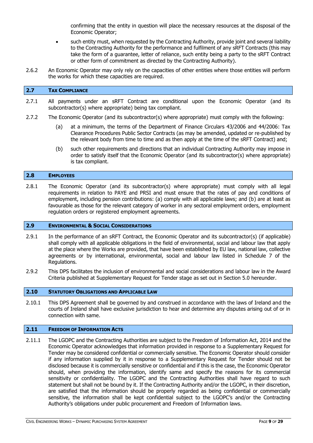confirming that the entity in question will place the necessary resources at the disposal of the Economic Operator;

- such entity must, when requested by the Contracting Authority, provide joint and several liability to the Contracting Authority for the performance and fulfilment of any sRFT Contracts (this may take the form of a guarantee, letter of reliance, such entity being a party to the sRFT Contract or other form of commitment as directed by the Contracting Authority).
- 2.6.2 An Economic Operator may only rely on the capacities of other entities where those entities will perform the works for which these capacities are required.

#### <span id="page-8-0"></span>**2.7 TAX COMPLIANCE**

- 2.7.1 All payments under an sRFT Contract are conditional upon the Economic Operator (and its subcontractor(s) where appropriate) being tax compliant.
- 2.7.2 The Economic Operator (and its subcontractor(s) where appropriate) must comply with the following:
	- (a) at a minimum, the terms of the Department of Finance Circulars 43/2006 and 44/2006: Tax Clearance Procedures Public Sector Contracts (as may be amended, updated or re-published by the relevant body from time to time and as then apply at the time of the sRFT Contract) and;
	- (b) such other requirements and directions that an individual Contracting Authority may impose in order to satisfy itself that the Economic Operator (and its subcontractor(s) where appropriate) is tax compliant.

#### <span id="page-8-1"></span>**2.8 EMPLOYEES**

2.8.1 The Economic Operator (and its subcontractor(s) where appropriate) must comply with all legal requirements in relation to PAYE and PRSI and must ensure that the rates of pay and conditions of employment, including pension contributions: (a) comply with all applicable laws; and (b) are at least as favourable as those for the relevant category of worker in any sectoral employment orders, employment regulation orders or registered employment agreements.

#### <span id="page-8-2"></span>**2.9 ENVIRONMENTAL & SOCIAL CONSIDERATIONS**

- 2.9.1 In the performance of an sRFT Contract, the Economic Operator and its subcontractor(s) (if applicable) shall comply with all applicable obligations in the field of environmental, social and labour law that apply at the place where the Works are provided, that have been established by EU law, national law, collective agreements or by international, environmental, social and labour law listed in Schedule 7 of the Regulations.
- 2.9.2 This DPS facilitates the inclusion of environmental and social considerations and labour law in the Award Criteria published at Supplementary Request for Tender stage as set out in Section 5.0 hereunder.

#### <span id="page-8-3"></span>**2.10 STATUTORY OBLIGATIONS AND APPLICABLE LAW**

2.10.1 This DPS Agreement shall be governed by and construed in accordance with the laws of Ireland and the courts of Ireland shall have exclusive jurisdiction to hear and determine any disputes arising out of or in connection with same.

#### <span id="page-8-4"></span>**2.11 FREEDOM OF INFORMATION ACTS**

2.11.1 The LGOPC and the Contracting Authorities are subject to the Freedom of Information Act, 2014 and the Economic Operator acknowledges that information provided in response to a Supplementary Request for Tender may be considered confidential or commercially sensitive. The Economic Operator should consider if any information supplied by it in response to a Supplementary Request for Tender should not be disclosed because it is commercially sensitive or confidential and if this is the case, the Economic Operator should, when providing the information, identify same and specify the reasons for its commercial sensitivity or confidentiality. The LGOPC and the Contracting Authorities shall have regard to such statement but shall not be bound by it. If the Contracting Authority and/or the LGOPC, in their discretion, are satisfied that the information should be properly regarded as being confidential or commercially sensitive, the information shall be kept confidential subject to the LGOPC's and/or the Contracting Authority's obligations under public procurement and Freedom of Information laws.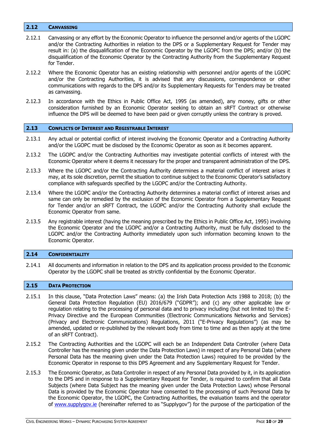### <span id="page-9-0"></span>**2.12 CANVASSING**

- 2.12.1 Canvassing or any effort by the Economic Operator to influence the personnel and/or agents of the LGOPC and/or the Contracting Authorities in relation to the DPS or a Supplementary Request for Tender may result in: (a) the disqualification of the Economic Operator by the LGOPC from the DPS; and/or (b) the disqualification of the Economic Operator by the Contracting Authority from the Supplementary Request for Tender.
- 2.12.2 Where the Economic Operator has an existing relationship with personnel and/or agents of the LGOPC and/or the Contracting Authorities, it is advised that any discussions, correspondence or other communications with regards to the DPS and/or its Supplementary Requests for Tenders may be treated as canvassing.
- 2.12.3 In accordance with the Ethics in Public Office Act, 1995 (as amended), any money, gifts or other consideration furnished by an Economic Operator seeking to obtain an sRFT Contract or otherwise influence the DPS will be deemed to have been paid or given corruptly unless the contrary is proved.

#### <span id="page-9-1"></span>**2.13 CONFLICTS OF INTEREST AND REGISTRABLE INTEREST**

- 2.13.1 Any actual or potential conflict of interest involving the Economic Operator and a Contracting Authority and/or the LGOPC must be disclosed by the Economic Operator as soon as it becomes apparent.
- 2.13.2 The LGOPC and/or the Contracting Authorities may investigate potential conflicts of interest with the Economic Operator where it deems it necessary for the proper and transparent administration of the DPS.
- 2.13.3 Where the LGOPC and/or the Contracting Authority determines a material conflict of interest arises it may, at its sole discretion, permit the situation to continue subject to the Economic Operator's satisfactory compliance with safeguards specified by the LGOPC and/or the Contracting Authority.
- 2.13.4 Where the LGOPC and/or the Contracting Authority determines a material conflict of interest arises and same can only be remedied by the exclusion of the Economic Operator from a Supplementary Request for Tender and/or an sRFT Contract, the LGOPC and/or the Contracting Authority shall exclude the Economic Operator from same.
- 2.13.5 Any registrable interest (having the meaning prescribed by the Ethics in Public Office Act, 1995) involving the Economic Operator and the LGOPC and/or a Contracting Authority, must be fully disclosed to the LGOPC and/or the Contracting Authority immediately upon such information becoming known to the Economic Operator.

#### <span id="page-9-2"></span>**2.14 CONFIDENTIALITY**

2.14.1 All documents and information in relation to the DPS and its application process provided to the Economic Operator by the LGOPC shall be treated as strictly confidential by the Economic Operator.

# <span id="page-9-3"></span>**2.15 DATA PROTECTION**

- 2.15.1 In this clause, "Data Protection Laws" means: (a) the Irish Data Protection Acts 1988 to 2018; (b) the General Data Protection Regulation (EU) 2016/679 ("GDPR"); and (c) any other applicable law or regulation relating to the processing of personal data and to privacy including (but not limited to) the E-Privacy Directive and the European Communities (Electronic Communications Networks and Services) (Privacy and Electronic Communications) Regulations, 2011 ("E-Privacy Regulations") (as may be amended, updated or re-published by the relevant body from time to time and as then apply at the time of an sRFT Contract).
- 2.15.2 The Contracting Authorities and the LGOPC will each be an Independent Data Controller (where Data Controller has the meaning given under the Data Protection Laws) in respect of any Personal Data (where Personal Data has the meaning given under the Data Protection Laws) required to be provided by the Economic Operator in response to this DPS Agreement and any Supplementary Request for Tender.
- 2.15.3 The Economic Operator, as Data Controller in respect of any Personal Data provided by it, in its application to the DPS and in response to a Supplementary Request for Tender, is required to confirm that all Data Subjects (where Data Subject has the meaning given under the Data Protection Laws) whose Personal Data is provided by the Economic Operator have consented to the processing of such Personal Data by the Economic Operator, the LGOPC, the Contracting Authorities, the evaluation teams and the operator of [www.supplygov.ie](http://www.supplygov.ie/) (hereinafter referred to as "Supplygov") for the purpose of the participation of the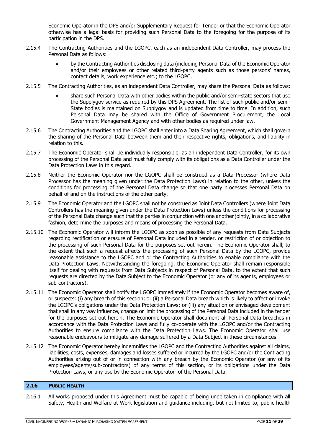Economic Operator in the DPS and/or Supplementary Request for Tender or that the Economic Operator otherwise has a legal basis for providing such Personal Data to the foregoing for the purpose of its participation in the DPS.

- 2.15.4 The Contracting Authorities and the LGOPC, each as an independent Data Controller, may process the Personal Data as follows:
	- by the Contracting Authorities disclosing data (including Personal Data of the Economic Operator and/or their employees or other related third-party agents such as those persons' names, contact details, work experience etc.) to the LGOPC.
- 2.15.5 The Contracting Authorities, as an independent Data Controller, may share the Personal Data as follows:
	- share such Personal Data with other bodies within the public and/or semi-state sectors that use the Supplygov service as required by this DPS Agreement. The list of such public and/or semi-State bodies is maintained on Supplygov and is updated from time to time. In addition, such Personal Data may be shared with the Office of Government Procurement, the Local Government Management Agency and with other bodies as required under law.
- 2.15.6 The Contracting Authorities and the LGOPC shall enter into a Data Sharing Agreement, which shall govern the sharing of the Personal Data between them and their respective rights, obligations, and liability in relation to this.
- 2.15.7 The Economic Operator shall be individually responsible, as an independent Data Controller, for its own processing of the Personal Data and must fully comply with its obligations as a Data Controller under the Data Protection Laws in this regard.
- 2.15.8 Neither the Economic Operator nor the LGOPC shall be construed as a Data Processor (where Data Processor has the meaning given under the Data Protection Laws) in relation to the other, unless the conditions for processing of the Personal Data change so that one party processes Personal Data on behalf of and on the instructions of the other party.
- 2.15.9 The Economic Operator and the LGOPC shall not be construed as Joint Data Controllers (where Joint Data Controllers has the meaning given under the Data Protection Laws) unless the conditions for processing of the Personal Data change such that the parties in conjunction with one another jointly, in a collaborative fashion, determine the purposes and means of processing the Personal Data.
- 2.15.10 The Economic Operator will inform the LGOPC as soon as possible of any requests from Data Subjects regarding rectification or erasure of Personal Data included in a tender, or restriction of or objection to the processing of such Personal Data for the purposes set out herein. The Economic Operator shall, to the extent that such a request affects the processing of such Personal Data by the LGOPC, provide reasonable assistance to the LGOPC and or the Contracting Authorities to enable compliance with the Data Protection Laws. Notwithstanding the foregoing, the Economic Operator shall remain responsible itself for dealing with requests from Data Subjects in respect of Personal Data, to the extent that such requests are directed by the Data Subject to the Economic Operator (or any of its agents, employees or sub-contractors).
- 2.15.11 The Economic Operator shall notify the LGOPC immediately if the Economic Operator becomes aware of, or suspects: (i) any breach of this section; or (ii) a Personal Data breach which is likely to affect or invoke the LGOPC's obligations under the Data Protection Laws; or (iii) any situation or envisaged development that shall in any way influence, change or limit the processing of the Personal Data included in the tender for the purposes set out herein. The Economic Operator shall document all Personal Data breaches in accordance with the Data Protection Laws and fully co-operate with the LGOPC and/or the Contracting Authorities to ensure compliance with the Data Protection Laws. The Economic Operator shall use reasonable endeavours to mitigate any damage suffered by a Data Subject in these circumstances.
- 2.15.12 The Economic Operator hereby indemnifies the LGOPC and the Contracting Authorities against all claims, liabilities, costs, expenses, damages and losses suffered or incurred by the LGOPC and/or the Contracting Authorities arising out of or in connection with any breach by the Economic Operator (or any of its employees/agents/sub-contractors) of any terms of this section, or its obligations under the Data Protection Laws, or any use by the Economic Operator of the Personal Data.

### <span id="page-10-0"></span>**2.16 PUBLIC HEALTH**

2.16.1 All works proposed under this Agreement must be capable of being undertaken in compliance with all Safety, Health and Welfare at Work legislation and guidance including, but not limited to, public health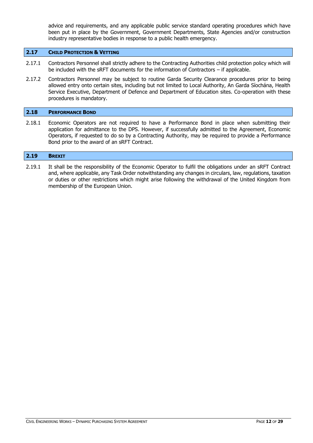advice and requirements, and any applicable public service standard operating procedures which have been put in place by the Government, Government Departments, State Agencies and/or construction industry representative bodies in response to a public health emergency.

#### <span id="page-11-0"></span>**2.17 CHILD PROTECTION & VETTING**

- 2.17.1 Contractors Personnel shall strictly adhere to the Contracting Authorities child protection policy which will be included with the sRFT documents for the information of Contractors – if applicable.
- 2.17.2 Contractors Personnel may be subject to routine Garda Security Clearance procedures prior to being allowed entry onto certain sites, including but not limited to Local Authority, An Garda Síochána, Health Service Executive, Department of Defence and Department of Education sites. Co-operation with these procedures is mandatory.

#### <span id="page-11-1"></span>**2.18 PERFORMANCE BOND**

2.18.1 Economic Operators are not required to have a Performance Bond in place when submitting their application for admittance to the DPS. However, if successfully admitted to the Agreement, Economic Operators, if requested to do so by a Contracting Authority, may be required to provide a Performance Bond prior to the award of an sRFT Contract.

# <span id="page-11-2"></span>**2.19 BREXIT**

2.19.1 It shall be the responsibility of the Economic Operator to fulfil the obligations under an sRFT Contract and, where applicable, any Task Order notwithstanding any changes in circulars, law, regulations, taxation or duties or other restrictions which might arise following the withdrawal of the United Kingdom from membership of the European Union.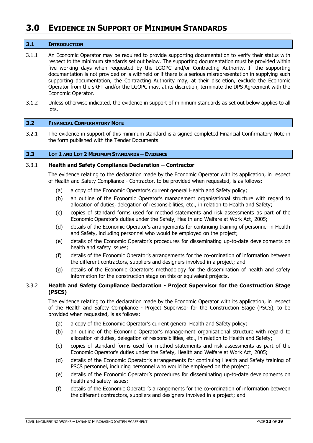# <span id="page-12-0"></span>**3.0 EVIDENCE IN SUPPORT OF MINIMUM STANDARDS**

#### <span id="page-12-1"></span>**3.1 INTRODUCTION**

- 3.1.1 An Economic Operator may be required to provide supporting documentation to verify their status with respect to the minimum standards set out below. The supporting documentation must be provided within five working days when requested by the LGOPC and/or Contracting Authority. If the supporting documentation is not provided or is withheld or if there is a serious misrepresentation in supplying such supporting documentation, the Contracting Authority may, at their discretion, exclude the Economic Operator from the sRFT and/or the LGOPC may, at its discretion, terminate the DPS Agreement with the Economic Operator.
- 3.1.2 Unless otherwise indicated, the evidence in support of minimum standards as set out below applies to all lots.

#### <span id="page-12-2"></span>**3.2 FINANCIAL CONFIRMATORY NOTE**

3.2.1 The evidence in support of this minimum standard is a signed completed Financial Confirmatory Note in the form published with the Tender Documents.

#### <span id="page-12-3"></span>**3.3 LOT 1 AND LOT 2 MINIMUM STANDARDS – EVIDENCE**

#### 3.3.1 **Health and Safety Compliance Declaration – Contractor**

The evidence relating to the declaration made by the Economic Operator with its application, in respect of Health and Safety Compliance - Contractor, to be provided when requested, is as follows:

- (a) a copy of the Economic Operator's current general Health and Safety policy;
- (b) an outline of the Economic Operator's management organisational structure with regard to allocation of duties, delegation of responsibilities, etc., in relation to Health and Safety;
- (c) copies of standard forms used for method statements and risk assessments as part of the Economic Operator's duties under the Safety, Health and Welfare at Work Act, 2005;
- (d) details of the Economic Operator's arrangements for continuing training of personnel in Health and Safety, including personnel who would be employed on the project;
- (e) details of the Economic Operator's procedures for disseminating up-to-date developments on health and safety issues;
- (f) details of the Economic Operator's arrangements for the co-ordination of information between the different contractors, suppliers and designers involved in a project; and
- (g) details of the Economic Operator's methodology for the dissemination of health and safety information for the construction stage on this or equivalent projects.

## 3.3.2 **Health and Safety Compliance Declaration - Project Supervisor for the Construction Stage (PSCS)**

The evidence relating to the declaration made by the Economic Operator with its application, in respect of the Health and Safety Compliance - Project Supervisor for the Construction Stage (PSCS), to be provided when requested, is as follows:

- (a) a copy of the Economic Operator's current general Health and Safety policy;
- (b) an outline of the Economic Operator's management organisational structure with regard to allocation of duties, delegation of responsibilities, etc., in relation to Health and Safety;
- (c) copies of standard forms used for method statements and risk assessments as part of the Economic Operator's duties under the Safety, Health and Welfare at Work Act, 2005;
- (d) details of the Economic Operator's arrangements for continuing Health and Safety training of PSCS personnel, including personnel who would be employed on the project;
- (e) details of the Economic Operator's procedures for disseminating up-to-date developments on health and safety issues;
- (f) details of the Economic Operator's arrangements for the co-ordination of information between the different contractors, suppliers and designers involved in a project; and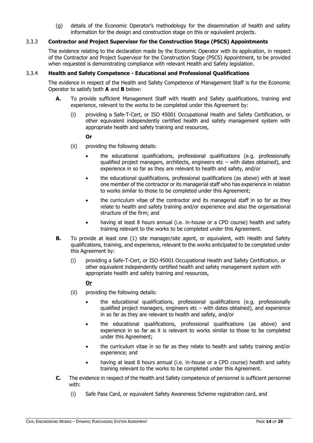(g) details of the Economic Operator's methodology for the dissemination of health and safety information for the design and construction stage on this or equivalent projects.

# 3.3.3 **Contractor and Project Supervisor for the Construction Stage (PSCS) Appointments**

The evidence relating to the declaration made by the Economic Operator with its application, in respect of the Contractor and Project Supervisor for the Construction Stage (PSCS) Appointment, to be provided when requested is demonstrating compliance with relevant Health and Safety legislation.

# 3.3.4 **Health and Safety Competence - Educational and Professional Qualifications**

The evidence in respect of the Health and Safety Competence of Management Staff is for the Economic Operator to satisfy both **A** and **B** below:

- **A.** To provide sufficient Management Staff with Health and Safety qualifications, training and experience, relevant to the works to be completed under this Agreement by:
	- (i) providing a Safe-T-Cert, or ISO 45001 Occupational Health and Safety Certification, or other equivalent independently certified health and safety management system with appropriate health and safety training and resources,

# **Or**

- (ii) providing the following details:
	- the educational qualifications, professional qualifications (e.g. professionally qualified project managers, architects, engineers etc – with dates obtained), and experience in so far as they are relevant to health and safety, and/or
	- the educational qualifications, professional qualifications (as above) with at least one member of the contractor or its managerial staff who has experience in relation to works similar to those to be completed under this Agreement;
	- the curriculum vitae of the contractor and its managerial staff in so far as they relate to health and safety training and/or experience and also the organisational structure of the firm; and
	- having at least 8 hours annual (i.e. in-house or a CPD course) health and safety training relevant to the works to be completed under this Agreement.
- **B.** To provide at least one (1) site manager/site agent, or equivalent, with Health and Safety qualifications, training, and experience, relevant to the works anticipated to be completed under this Agreement by:
	- (i) providing a Safe-T-Cert, or ISO 45001 Occupational Health and Safety Certification, or other equivalent independently certified health and safety management system with appropriate health and safety training and resources,

# **Or**

- (ii) providing the following details:
	- the educational qualifications, professional qualifications (e.g. professionally qualified project managers, engineers etc – with dates obtained), and experience in so far as they are relevant to health and safety, and/or
	- the educational qualifications, professional qualifications (as above) and experience in so far as it is relevant to works similar to those to be completed under this Agreement;
	- the curriculum vitae in so far as they relate to health and safety training and/or experience; and
	- having at least 8 hours annual (i.e. in-house or a CPD course) health and safety training relevant to the works to be completed under this Agreement.
- **C.** The evidence in respect of the Health and Safety competence of personnel is sufficient personnel with:
	- (i) Safe Pass Card, or equivalent Safety Awareness Scheme registration card, and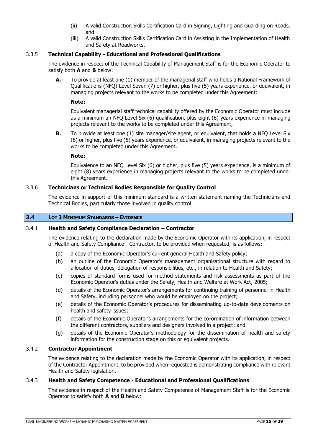- (ii) A valid Construction Skills Certification Card in Signing, Lighting and Guarding on Roads, and
- (iii) A valid Construction Skills Certification Card in Assisting in the Implementation of Health and Safety at Roadworks.

# 3.3.5 **Technical Capability - Educational and Professional Qualifications**

The evidence in respect of the Technical Capability of Management Staff is for the Economic Operator to satisfy both **A** and **B** below:

**A.** To provide at least one (1) member of the managerial staff who holds a National Framework of Qualifications (NFQ) Level Seven (7) or higher, plus five (5) years experience, or equivalent, in managing projects relevant to the works to be completed under this Agreement:

### **Note:**

Equivalent managerial staff technical capability offered by the Economic Operator must include as a minimum an NFQ Level Six (6) qualification, plus eight (8) years experience in managing projects relevant to the works to be completed under this Agreement,

**B.** To provide at least one (1) site manager/site agent, or equivalent, that holds a NFQ Level Six (6) or higher, plus five (5) years experience, or equivalent, in managing projects relevant to the works to be completed under this Agreement.

#### **Note:**

Equivalence to an NFQ Level Six (6) or higher, plus five (5) years experience, is a minimum of eight (8) years experience in managing projects relevant to the works to be completed under this Agreement.

# 3.3.6 **Technicians or Technical Bodies Responsible for Quality Control**

The evidence in support of this minimum standard is a written statement naming the Technicians and Technical Bodies, particularly those involved in quality control.

#### <span id="page-14-0"></span>**3.4 LOT 3 MINIMUM STANDARDS – EVIDENCE**

# 3.4.1 **Health and Safety Compliance Declaration – Contractor**

The evidence relating to the declaration made by the Economic Operator with its application, in respect of Health and Safety Compliance - Contractor, to be provided when requested, is as follows:

- (a) a copy of the Economic Operator's current general Health and Safety policy;
- (b) an outline of the Economic Operator's management organisational structure with regard to allocation of duties, delegation of responsibilities, etc., in relation to Health and Safety;
- (c) copies of standard forms used for method statements and risk assessments as part of the Economic Operator's duties under the Safety, Health and Welfare at Work Act, 2005;
- (d) details of the Economic Operator's arrangements for continuing training of personnel in Health and Safety, including personnel who would be employed on the project;
- (e) details of the Economic Operator's procedures for disseminating up-to-date developments on health and safety issues;
- (f) details of the Economic Operator's arrangements for the co-ordination of information between the different contractors, suppliers and designers involved in a project; and
- (g) details of the Economic Operator's methodology for the dissemination of health and safety information for the construction stage on this or equivalent projects.

# 3.4.2 **Contractor Appointment**

The evidence relating to the declaration made by the Economic Operator with its application, in respect of the Contractor Appointment, to be provided when requested is demonstrating compliance with relevant Health and Safety legislation.

### 3.4.3 **Health and Safety Competence - Educational and Professional Qualifications**

The evidence in respect of the Health and Safety Competence of Management Staff is for the Economic Operator to satisfy both **A** and **B** below: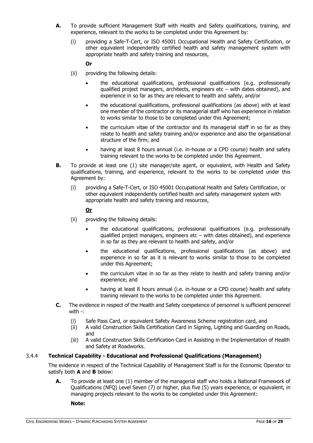- **A.** To provide sufficient Management Staff with Health and Safety qualifications, training, and experience, relevant to the works to be completed under this Agreement by:
	- (i) providing a Safe-T-Cert, or ISO 45001 Occupational Health and Safety Certification, or other equivalent independently certified health and safety management system with appropriate health and safety training and resources,

# **Or**

- (ii) providing the following details:
	- the educational qualifications, professional qualifications (e.g. professionally qualified project managers, architects, engineers etc – with dates obtained), and experience in so far as they are relevant to health and safety, and/or
	- the educational qualifications, professional qualifications (as above) with at least one member of the contractor or its managerial staff who has experience in relation to works similar to those to be completed under this Agreement;
	- the curriculum vitae of the contractor and its managerial staff in so far as they relate to health and safety training and/or experience and also the organisational structure of the firm; and
	- having at least 8 hours annual (i.e. in-house or a CPD course) health and safety training relevant to the works to be completed under this Agreement.
- **B.** To provide at least one (1) site manager/site agent, or equivalent, with Health and Safety qualifications, training, and experience, relevant to the works to be completed under this Agreement by:
	- (i) providing a Safe-T-Cert, or ISO 45001 Occupational Health and Safety Certification, or other equivalent independently certified health and safety management system with appropriate health and safety training and resources,

# **Or**

- (ii) providing the following details:
	- the educational qualifications, professional qualifications (e.g. professionally qualified project managers, engineers etc – with dates obtained), and experience in so far as they are relevant to health and safety, and/or
	- the educational qualifications, professional qualifications (as above) and experience in so far as it is relevant to works similar to those to be completed under this Agreement;
	- the curriculum vitae in so far as they relate to health and safety training and/or experience; and
	- having at least 8 hours annual (i.e. in-house or a CPD course) health and safety training relevant to the works to be completed under this Agreement.
- **C.** The evidence in respect of the Health and Safety competence of personnel is sufficient personnel with -:
	- (i) Safe Pass Card, or equivalent Safety Awareness Scheme registration card, and
	- (ii) A valid Construction Skills Certification Card in Signing, Lighting and Guarding on Roads, and
	- (iii) A valid Construction Skills Certification Card in Assisting in the Implementation of Health and Safety at Roadworks.

### 3.4.4 **Technical Capability - Educational and Professional Qualifications (Management)**

The evidence in respect of the Technical Capability of Management Staff is for the Economic Operator to satisfy both **A** and **B** below:

**A.** To provide at least one (1) member of the managerial staff who holds a National Framework of Qualifications (NFQ) Level Seven (7) or higher, plus five (5) years experience, or equivalent, in managing projects relevant to the works to be completed under this Agreement:

**Note:**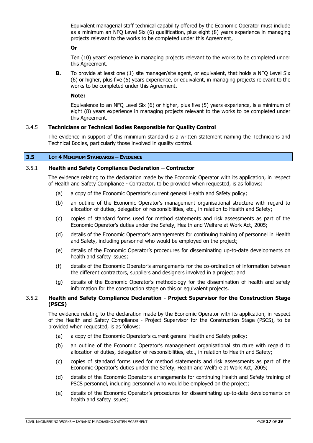Equivalent managerial staff technical capability offered by the Economic Operator must include as a minimum an NFQ Level Six (6) qualification, plus eight (8) years experience in managing projects relevant to the works to be completed under this Agreement,

#### **Or**

Ten (10) years' experience in managing projects relevant to the works to be completed under this Agreement.

**B.** To provide at least one (1) site manager/site agent, or equivalent, that holds a NFQ Level Six (6) or higher, plus five (5) years experience, or equivalent, in managing projects relevant to the works to be completed under this Agreement.

#### **Note:**

Equivalence to an NFQ Level Six (6) or higher, plus five (5) years experience, is a minimum of eight (8) years experience in managing projects relevant to the works to be completed under this Agreement.

### 3.4.5 **Technicians or Technical Bodies Responsible for Quality Control**

The evidence in support of this minimum standard is a written statement naming the Technicians and Technical Bodies, particularly those involved in quality control.

#### <span id="page-16-0"></span>**3.5 LOT 4 MINIMUM STANDARDS – EVIDENCE**

### 3.5.1 **Health and Safety Compliance Declaration – Contractor**

The evidence relating to the declaration made by the Economic Operator with its application, in respect of Health and Safety Compliance - Contractor, to be provided when requested, is as follows:

- (a) a copy of the Economic Operator's current general Health and Safety policy;
- (b) an outline of the Economic Operator's management organisational structure with regard to allocation of duties, delegation of responsibilities, etc., in relation to Health and Safety;
- (c) copies of standard forms used for method statements and risk assessments as part of the Economic Operator's duties under the Safety, Health and Welfare at Work Act, 2005;
- (d) details of the Economic Operator's arrangements for continuing training of personnel in Health and Safety, including personnel who would be employed on the project;
- (e) details of the Economic Operator's procedures for disseminating up-to-date developments on health and safety issues;
- (f) details of the Economic Operator's arrangements for the co-ordination of information between the different contractors, suppliers and designers involved in a project; and
- (g) details of the Economic Operator's methodology for the dissemination of health and safety information for the construction stage on this or equivalent projects.

# 3.5.2 **Health and Safety Compliance Declaration - Project Supervisor for the Construction Stage (PSCS)**

The evidence relating to the declaration made by the Economic Operator with its application, in respect of the Health and Safety Compliance - Project Supervisor for the Construction Stage (PSCS), to be provided when requested, is as follows:

- (a) a copy of the Economic Operator's current general Health and Safety policy;
- (b) an outline of the Economic Operator's management organisational structure with regard to allocation of duties, delegation of responsibilities, etc., in relation to Health and Safety;
- (c) copies of standard forms used for method statements and risk assessments as part of the Economic Operator's duties under the Safety, Health and Welfare at Work Act, 2005;
- (d) details of the Economic Operator's arrangements for continuing Health and Safety training of PSCS personnel, including personnel who would be employed on the project;
- (e) details of the Economic Operator's procedures for disseminating up-to-date developments on health and safety issues;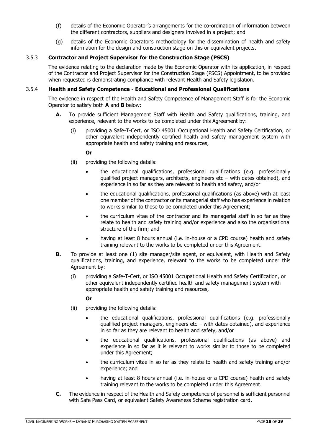- (f) details of the Economic Operator's arrangements for the co-ordination of information between the different contractors, suppliers and designers involved in a project; and
- (g) details of the Economic Operator's methodology for the dissemination of health and safety information for the design and construction stage on this or equivalent projects.

# 3.5.3 **Contractor and Project Supervisor for the Construction Stage (PSCS)**

The evidence relating to the declaration made by the Economic Operator with its application, in respect of the Contractor and Project Supervisor for the Construction Stage (PSCS) Appointment, to be provided when requested is demonstrating compliance with relevant Health and Safety legislation.

### 3.5.4 **Health and Safety Competence - Educational and Professional Qualifications**

The evidence in respect of the Health and Safety Competence of Management Staff is for the Economic Operator to satisfy both **A** and **B** below:

- **A.** To provide sufficient Management Staff with Health and Safety qualifications, training, and experience, relevant to the works to be completed under this Agreement by:
	- (i) providing a Safe-T-Cert, or ISO 45001 Occupational Health and Safety Certification, or other equivalent independently certified health and safety management system with appropriate health and safety training and resources,

# **Or**

- (ii) providing the following details:
	- the educational qualifications, professional qualifications (e.g. professionally qualified project managers, architects, engineers etc – with dates obtained), and experience in so far as they are relevant to health and safety, and/or
	- the educational qualifications, professional qualifications (as above) with at least one member of the contractor or its managerial staff who has experience in relation to works similar to those to be completed under this Agreement;
	- the curriculum vitae of the contractor and its managerial staff in so far as they relate to health and safety training and/or experience and also the organisational structure of the firm; and
	- having at least 8 hours annual (i.e. in-house or a CPD course) health and safety training relevant to the works to be completed under this Agreement.
- **B.** To provide at least one (1) site manager/site agent, or equivalent, with Health and Safety qualifications, training, and experience, relevant to the works to be completed under this Agreement by:
	- (i) providing a Safe-T-Cert, or ISO 45001 Occupational Health and Safety Certification, or other equivalent independently certified health and safety management system with appropriate health and safety training and resources,

# **Or**

- (ii) providing the following details:
	- the educational qualifications, professional qualifications (e.g. professionally qualified project managers, engineers etc – with dates obtained), and experience in so far as they are relevant to health and safety, and/or
	- the educational qualifications, professional qualifications (as above) and experience in so far as it is relevant to works similar to those to be completed under this Agreement;
	- the curriculum vitae in so far as they relate to health and safety training and/or experience; and
	- having at least 8 hours annual (i.e. in-house or a CPD course) health and safety training relevant to the works to be completed under this Agreement.
- **C.** The evidence in respect of the Health and Safety competence of personnel is sufficient personnel with Safe Pass Card, or equivalent Safety Awareness Scheme registration card.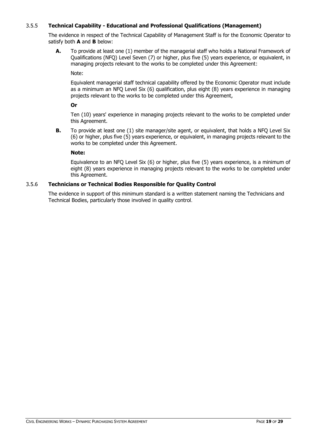# 3.5.5 **Technical Capability - Educational and Professional Qualifications (Management)**

The evidence in respect of the Technical Capability of Management Staff is for the Economic Operator to satisfy both **A** and **B** below:

**A.** To provide at least one (1) member of the managerial staff who holds a National Framework of Qualifications (NFQ) Level Seven (7) or higher, plus five (5) years experience, or equivalent, in managing projects relevant to the works to be completed under this Agreement:

Note:

Equivalent managerial staff technical capability offered by the Economic Operator must include as a minimum an NFQ Level Six (6) qualification, plus eight (8) years experience in managing projects relevant to the works to be completed under this Agreement,

**Or**

Ten (10) years' experience in managing projects relevant to the works to be completed under this Agreement.

**B.** To provide at least one (1) site manager/site agent, or equivalent, that holds a NFQ Level Six (6) or higher, plus five (5) years experience, or equivalent, in managing projects relevant to the works to be completed under this Agreement.

#### **Note:**

Equivalence to an NFQ Level Six (6) or higher, plus five (5) years experience, is a minimum of eight (8) years experience in managing projects relevant to the works to be completed under this Agreement.

# 3.5.6 **Technicians or Technical Bodies Responsible for Quality Control**

The evidence in support of this minimum standard is a written statement naming the Technicians and Technical Bodies, particularly those involved in quality control.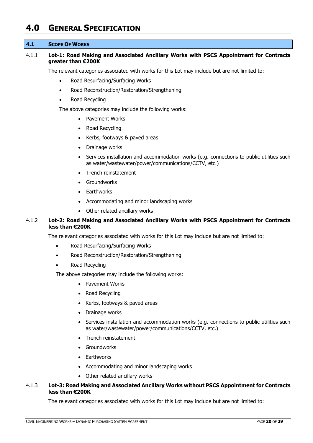# <span id="page-19-0"></span>**4.0 GENERAL SPECIFICATION**

#### <span id="page-19-1"></span>**4.1 SCOPE OF WORKS**

#### 4.1.1 **Lot-1: Road Making and Associated Ancillary Works with PSCS Appointment for Contracts greater than €200K**

The relevant categories associated with works for this Lot may include but are not limited to:

- Road Resurfacing/Surfacing Works
- Road Reconstruction/Restoration/Strengthening
- Road Recycling

The above categories may include the following works:

- Pavement Works
- Road Recycling
- Kerbs, footways & paved areas
- Drainage works
- Services installation and accommodation works (e.g. connections to public utilities such as water/wastewater/power/communications/CCTV, etc.)
- Trench reinstatement
- Groundworks
- Earthworks
- Accommodating and minor landscaping works
- Other related ancillary works

# 4.1.2 **Lot-2: Road Making and Associated Ancillary Works with PSCS Appointment for Contracts less than €200K**

The relevant categories associated with works for this Lot may include but are not limited to:

- Road Resurfacing/Surfacing Works
- Road Reconstruction/Restoration/Strengthening
- Road Recycling

The above categories may include the following works:

- Pavement Works
- Road Recycling
- Kerbs, footways & paved areas
- Drainage works
- Services installation and accommodation works (e.g. connections to public utilities such as water/wastewater/power/communications/CCTV, etc.)
- Trench reinstatement
- Groundworks
- Earthworks
- Accommodating and minor landscaping works
- Other related ancillary works

# 4.1.3 **Lot-3: Road Making and Associated Ancillary Works without PSCS Appointment for Contracts less than €200K**

The relevant categories associated with works for this Lot may include but are not limited to: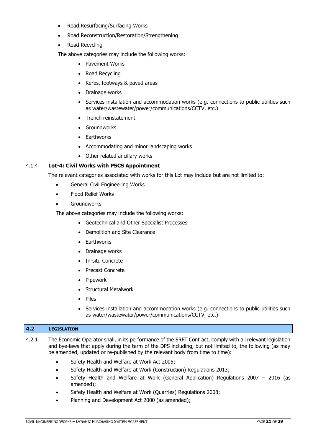- Road Resurfacing/Surfacing Works
- Road Reconstruction/Restoration/Strengthening
- Road Recycling

The above categories may include the following works:

- Pavement Works
- Road Recycling
- Kerbs, footways & paved areas
- Drainage works
- Services installation and accommodation works (e.g. connections to public utilities such as water/wastewater/power/communications/CCTV, etc.)
- Trench reinstatement
- Groundworks
- Earthworks
- Accommodating and minor landscaping works
- Other related ancillary works

# 4.1.4 **Lot-4: Civil Works with PSCS Appointment**

The relevant categories associated with works for this Lot may include but are not limited to:

- General Civil Engineering Works
- Flood Relief Works
- **Groundworks**

The above categories may include the following works:

- Geotechnical and Other Specialist Processes
- Demolition and Site Clearance
- Earthworks
- Drainage works
- In-situ Concrete
- Precast Concrete
- Pipework
- Structural Metalwork
- Piles
- Services installation and accommodation works (e.g. connections to public utilities such as water/wastewater/power/communications/CCTV, etc.)

# <span id="page-20-0"></span>**4.2 LEGISLATION**

4.2.1 The Economic Operator shall, in its performance of the SRFT Contract, comply with all relevant legislation and bye-laws that apply during the term of the DPS including, but not limited to, the following (as may be amended, updated or re-published by the relevant body from time to time):

- Safety Health and Welfare at Work Act 2005;
- Safety Health and Welfare at Work (Construction) Regulations 2013;
- Safety Health and Welfare at Work (General Application) Regulations 2007 2016 (as amended);
- Safety Health and Welfare at Work (Quarries) Regulations 2008;
- Planning and Development Act 2000 (as amended);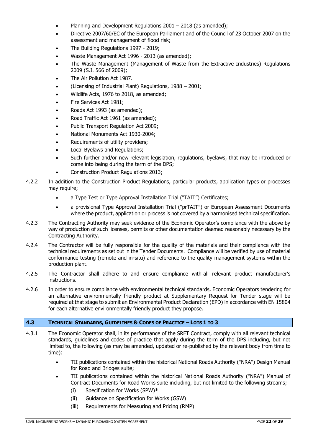- Planning and Development Regulations 2001 2018 (as amended);
- Directive 2007/60/EC of the European Parliament and of the Council of 23 October 2007 on the assessment and management of flood risk;
- The Building Regulations 1997 2019;
- Waste Management Act 1996 2013 (as amended);
- The Waste Management (Management of Waste from the Extractive Industries) Regulations 2009 (S.I. 566 of 2009);
- The Air Pollution Act 1987.
- (Licensing of Industrial Plant) Regulations, 1988 2001;
- Wildlife Acts, 1976 to 2018, as amended;
- Fire Services Act 1981;
- Roads Act 1993 (as amended);
- Road Traffic Act 1961 (as amended);
- Public Transport Regulation Act 2009;
- National Monuments Act 1930-2004;
- Requirements of utility providers;
- Local Byelaws and Regulations;
- Such further and/or new relevant legislation, regulations, byelaws, that may be introduced or come into being during the term of the DPS;
- Construction Product Regulations 2013;
- 4.2.2 In addition to the Construction Product Regulations, particular products, application types or processes may require;
	- a Type Test or Type Approval Installation Trial ("TAIT") Certificates;
	- a provisional Type Approval Installation Trial ("prTAIT") or European Assessment Documents where the product, application or process is not covered by a harmonised technical specification.
- 4.2.3 The Contracting Authority may seek evidence of the Economic Operator's compliance with the above by way of production of such licenses, permits or other documentation deemed reasonably necessary by the Contracting Authority.
- 4.2.4 The Contractor will be fully responsible for the quality of the materials and their compliance with the technical requirements as set out in the Tender Documents. Compliance will be verified by use of material conformance testing (remote and in-situ) and reference to the quality management systems within the production plant.
- 4.2.5 The Contractor shall adhere to and ensure compliance with all relevant product manufacturer's instructions.
- 4.2.6 In order to ensure compliance with environmental technical standards, Economic Operators tendering for an alternative environmentally friendly product at Supplementary Request for Tender stage will be required at that stage to submit an Environmental Product Declaration (EPD) in accordance with EN 15804 for each alternative environmentally friendly product they propose.

# <span id="page-21-0"></span>**4.3 TECHNICAL STANDARDS, GUIDELINES & CODES OF PRACTICE – LOTS 1 TO 3**

- 4.3.1 The Economic Operator shall, in its performance of the SRFT Contract, comply with all relevant technical standards, guidelines and codes of practice that apply during the term of the DPS including, but not limited to, the following (as may be amended, updated or re-published by the relevant body from time to time):
	- TII publications contained within the historical National Roads Authority ("NRA") Design Manual for Road and Bridges suite;
	- TII publications contained within the historical National Roads Authority ("NRA") Manual of Contract Documents for Road Works suite including, but not limited to the following streams;
		- (i) Specification for Works (SPW)**\***
		- (ii) Guidance on Specification for Works (GSW)
		- (iii) Requirements for Measuring and Pricing (RMP)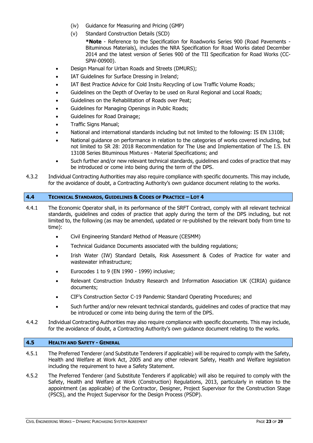- (iv) Guidance for Measuring and Pricing (GMP)
- (v) Standard Construction Details (SCD)

**\*Note** - Reference to the Specification for Roadworks Series 900 (Road Pavements - Bituminous Materials), includes the NRA Specification for Road Works dated December 2014 and the latest version of Series 900 of the TII Specification for Road Works (CC-SPW-00900).

- Design Manual for Urban Roads and Streets (DMURS);
- IAT Guidelines for Surface Dressing in Ireland;
- IAT Best Practice Advice for Cold Insitu Recycling of Low Traffic Volume Roads;
- Guidelines on the Depth of Overlay to be used on Rural Regional and Local Roads;
- Guidelines on the Rehabilitation of Roads over Peat;
- Guidelines for Managing Openings in Public Roads;
- Guidelines for Road Drainage;
- Traffic Signs Manual;
- National and international standards including but not limited to the following: IS EN 13108;
- National guidance on performance in relation to the categories of works covered including, but not limited to SR 28: 2018 Recommendation for The Use and Implementation of The I.S. EN 13108 Series Bituminous Mixtures - Material Specifications; and
- Such further and/or new relevant technical standards, guidelines and codes of practice that may be introduced or come into being during the term of the DPS.
- 4.3.2 Individual Contracting Authorities may also require compliance with specific documents. This may include, for the avoidance of doubt, a Contracting Authority's own guidance document relating to the works.

# <span id="page-22-0"></span>**4.4 TECHNICAL STANDARDS, GUIDELINES & CODES OF PRACTICE – LOT 4**

- 4.4.1 The Economic Operator shall, in its performance of the SRFT Contract, comply with all relevant technical standards, guidelines and codes of practice that apply during the term of the DPS including, but not limited to, the following (as may be amended, updated or re-published by the relevant body from time to time):
	- Civil Engineering Standard Method of Measure (CESMM)
	- Technical Guidance Documents associated with the building regulations;
	- Irish Water (IW) Standard Details, Risk Assessment & Codes of Practice for water and wastewater infrastructure;
	- Eurocodes 1 to 9 (EN 1990 1999) inclusive;
	- Relevant Construction Industry Research and Information Association UK (CIRIA) guidance documents;
	- CIF's Construction Sector C-19 Pandemic Standard Operating Procedures; and
	- Such further and/or new relevant technical standards, guidelines and codes of practice that may be introduced or come into being during the term of the DPS.
- 4.4.2 Individual Contracting Authorities may also require compliance with specific documents. This may include, for the avoidance of doubt, a Contracting Authority's own guidance document relating to the works.

### <span id="page-22-1"></span>**4.5 HEALTH AND SAFETY - GENERAL**

- 4.5.1 The Preferred Tenderer (and Substitute Tenderers if applicable) will be required to comply with the Safety, Health and Welfare at Work Act, 2005 and any other relevant Safety, Health and Welfare legislation including the requirement to have a Safety Statement.
- 4.5.2 The Preferred Tenderer (and Substitute Tenderers if applicable) will also be required to comply with the Safety, Health and Welfare at Work (Construction) Regulations, 2013, particularly in relation to the appointment (as applicable) of the Contractor, Designer, Project Supervisor for the Construction Stage (PSCS), and the Project Supervisor for the Design Process (PSDP).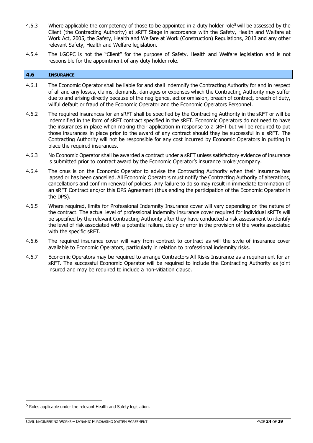- 4.5.3 Where applicable the competency of those to be appointed in a duty holder role<sup>5</sup> will be assessed by the Client (the Contracting Authority) at sRFT Stage in accordance with the Safety, Health and Welfare at Work Act, 2005, the Safety, Health and Welfare at Work (Construction) Regulations, 2013 and any other relevant Safety, Health and Welfare legislation.
- 4.5.4 The LGOPC is not the "Client" for the purpose of Safety, Health and Welfare legislation and is not responsible for the appointment of any duty holder role.

#### <span id="page-23-0"></span>**4.6 INSURANCE**

- 4.6.1 The Economic Operator shall be liable for and shall indemnify the Contracting Authority for and in respect of all and any losses, claims, demands, damages or expenses which the Contracting Authority may suffer due to and arising directly because of the negligence, act or omission, breach of contract, breach of duty, wilful default or fraud of the Economic Operator and the Economic Operators Personnel.
- 4.6.2 The required insurances for an sRFT shall be specified by the Contracting Authority in the sRFT or will be indemnified in the form of sRFT contract specified in the sRFT. Economic Operators do not need to have the insurances in place when making their application in response to a sRFT but will be required to put those insurances in place prior to the award of any contract should they be successful in a sRFT. The Contracting Authority will not be responsible for any cost incurred by Economic Operators in putting in place the required insurances.
- 4.6.3 No Economic Operator shall be awarded a contract under a sRFT unless satisfactory evidence of insurance is submitted prior to contract award by the Economic Operator's insurance broker/company.
- 4.6.4 The onus is on the Economic Operator to advise the Contracting Authority when their insurance has lapsed or has been cancelled. All Economic Operators must notify the Contracting Authority of alterations, cancellations and confirm renewal of policies. Any failure to do so may result in immediate termination of an sRFT Contract and/or this DPS Agreement (thus ending the participation of the Economic Operator in the DPS).
- 4.6.5 Where required, limits for Professional Indemnity Insurance cover will vary depending on the nature of the contract. The actual level of professional indemnity insurance cover required for individual sRFTs will be specified by the relevant Contracting Authority after they have conducted a risk assessment to identify the level of risk associated with a potential failure, delay or error in the provision of the works associated with the specific sRFT.
- 4.6.6 The required insurance cover will vary from contract to contract as will the style of insurance cover available to Economic Operators, particularly in relation to professional indemnity risks.
- 4.6.7 Economic Operators may be required to arrange Contractors All Risks Insurance as a requirement for an sRFT. The successful Economic Operator will be required to include the Contracting Authority as joint insured and may be required to include a non-vitiation clause.

<sup>&</sup>lt;sup>5</sup> Roles applicable under the relevant Health and Safety legislation.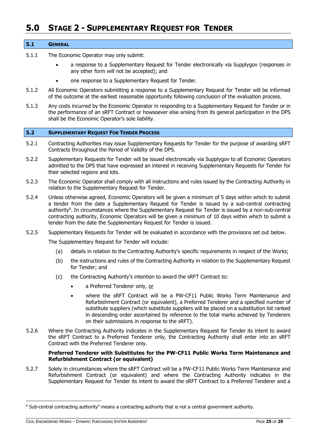# <span id="page-24-0"></span>**5.0 STAGE 2 - SUPPLEMENTARY REQUEST FOR TENDER**

#### <span id="page-24-1"></span>**5.1 GENERAL**

- 5.1.1 The Economic Operator may only submit:
	- a response to a Supplementary Request for Tender electronically via Supplygov (responses in any other form will not be accepted); and
	- one response to a Supplementary Request for Tender.
- 5.1.2 All Economic Operators submitting a response to a Supplementary Request for Tender will be informed of the outcome at the earliest reasonable opportunity following conclusion of the evaluation process.
- 5.1.3 Any costs incurred by the Economic Operator in responding to a Supplementary Request for Tender or in the performance of an sRFT Contract or howsoever else arising from its general participation in the DPS shall be the Economic Operator's sole liability.

#### <span id="page-24-2"></span>**5.2 SUPPLEMENTARY REQUEST FOR TENDER PROCESS**

- 5.2.1 Contracting Authorities may issue Supplementary Requests for Tender for the purpose of awarding sRFT Contracts throughout the Period of Validity of the DPS.
- 5.2.2 Supplementary Requests for Tender will be issued electronically via Supplygov to all Economic Operators admitted to the DPS that have expressed an interest in receiving Supplementary Requests for Tender for their selected regions and lots.
- 5.2.3 The Economic Operator shall comply with all instructions and rules issued by the Contracting Authority in relation to the Supplementary Request for Tender.
- 5.2.4 Unless otherwise agreed, Economic Operators will be given a minimum of 5 days within which to submit a tender from the date a Supplementary Request for Tender is issued by a sub-central contracting authority<sup>6</sup>. In circumstances where the Supplementary Request for Tender is issued by a non-sub-central contracting authority, Economic Operators will be given a minimum of 10 days within which to submit a tender from the date the Supplementary Request for Tender is issued.
- 5.2.5 Supplementary Requests for Tender will be evaluated in accordance with the provisions set out below.

The Supplementary Request for Tender will include:

- (a) details in relation to the Contracting Authority's specific requirements in respect of the Works;
- (b) the instructions and rules of the Contracting Authority in relation to the Supplementary Request for Tender; and
- (c) the Contracting Authority's intention to award the sRFT Contract to:
	- a Preferred Tenderer only, or
	- where the sRFT Contract will be a PW-CF11 Public Works Term Maintenance and Refurbishment Contract (or equivalent), a Preferred Tenderer and a specified number of substitute suppliers (which substitute suppliers will be placed on a substitution list ranked in descending order ascertained by reference to the total marks achieved by Tenderers on their submissions in response to the sRFT).
- 5.2.6 Where the Contracting Authority indicates in the Supplementary Request for Tender its intent to award the sRFT Contract to a Preferred Tenderer only, the Contracting Authority shall enter into an sRFT Contract with the Preferred Tenderer only.

### **Preferred Tenderer with Substitutes for the PW-CF11 Public Works Term Maintenance and Refurbishment Contract (or equivalent)**

5.2.7 Solely in circumstances where the sRFT Contract will be a PW-CF11 Public Works Term Maintenance and Refurbishment Contract (or equivalent) and where the Contracting Authority indicates in the Supplementary Request for Tender its intent to award the sRFT Contract to a Preferred Tenderer and a

<sup>6</sup> Sub-central contracting authority" means a contracting authority that is not a central government authority.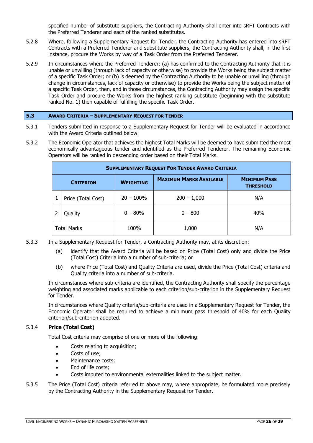specified number of substitute suppliers, the Contracting Authority shall enter into sRFT Contracts with the Preferred Tenderer and each of the ranked substitutes.

- 5.2.8 Where, following a Supplementary Request for Tender, the Contracting Authority has entered into sRFT Contracts with a Preferred Tenderer and substitute suppliers, the Contracting Authority shall, in the first instance, procure the Works by way of a Task Order from the Preferred Tenderer.
- 5.2.9 In circumstances where the Preferred Tenderer: (a) has confirmed to the Contracting Authority that it is unable or unwilling (through lack of capacity or otherwise) to provide the Works being the subject matter of a specific Task Order; or (b) is deemed by the Contracting Authority to be unable or unwilling (through change in circumstances, lack of capacity or otherwise) to provide the Works being the subject matter of a specific Task Order, then, and in those circumstances, the Contracting Authority may assign the specific Task Order and procure the Works from the highest ranking substitute (beginning with the substitute ranked No. 1) then capable of fulfilling the specific Task Order.

#### <span id="page-25-0"></span>**5.3 AWARD CRITERIA – SUPPLEMENTARY REQUEST FOR TENDER**

- 5.3.1 Tenders submitted in response to a Supplementary Request for Tender will be evaluated in accordance with the Award Criteria outlined below.
- 5.3.2 The Economic Operator that achieves the highest Total Marks will be deemed to have submitted the most economically advantageous tender and identified as the Preferred Tenderer. The remaining Economic Operators will be ranked in descending order based on their Total Marks.

|                    | <b>SUPPLEMENTARY REQUEST FOR TENDER AWARD CRITERIA</b> |                  |                                |                                         |  |  |  |  |
|--------------------|--------------------------------------------------------|------------------|--------------------------------|-----------------------------------------|--|--|--|--|
|                    | <b>CRITERION</b>                                       | <b>WEIGHTING</b> | <b>MAXIMUM MARKS AVAILABLE</b> | <b>MINIMUM PASS</b><br><b>THRESHOLD</b> |  |  |  |  |
|                    | Price (Total Cost)                                     | $20 - 100\%$     | $200 - 1,000$                  | N/A                                     |  |  |  |  |
|                    | Quality                                                | $0 - 80%$        | $0 - 800$                      | 40%                                     |  |  |  |  |
| <b>Total Marks</b> |                                                        | 100%             | 1,000                          | N/A                                     |  |  |  |  |

- 5.3.3 In a Supplementary Request for Tender, a Contracting Authority may, at its discretion:
	- (a) identify that the Award Criteria will be based on Price (Total Cost) only and divide the Price (Total Cost) Criteria into a number of sub-criteria; or
	- (b) where Price (Total Cost) and Quality Criteria are used, divide the Price (Total Cost) criteria and Quality criteria into a number of sub-criteria.

In circumstances where sub-criteria are identified, the Contracting Authority shall specify the percentage weighting and associated marks applicable to each criterion/sub-criterion in the Supplementary Request for Tender.

In circumstances where Quality criteria/sub-criteria are used in a Supplementary Request for Tender, the Economic Operator shall be required to achieve a minimum pass threshold of 40% for each Quality criterion/sub-criterion adopted.

### 5.3.4 **Price (Total Cost)**

Total Cost criteria may comprise of one or more of the following:

- Costs relating to acquisition;
- Costs of use;
- Maintenance costs:
- End of life costs;
- Costs imputed to environmental externalities linked to the subject matter.
- 5.3.5 The Price (Total Cost) criteria referred to above may, where appropriate, be formulated more precisely by the Contracting Authority in the Supplementary Request for Tender.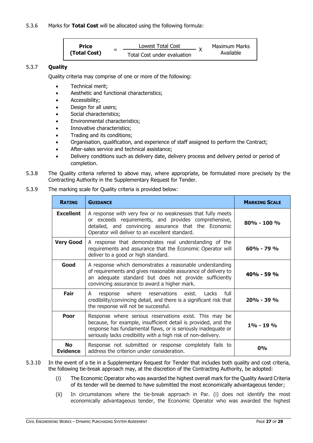**Price (Total Cost)** = Lowest Total Cost X Maximum Marks Available Total Cost under evaluation

# 5.3.7 **Quality**

Quality criteria may comprise of one or more of the following:

- Technical merit;
- Aesthetic and functional characteristics;
- Accessibility;
- Design for all users;
- Social characteristics;
- Environmental characteristics;
- Innovative characteristics;
- Trading and its conditions;
- Organisation, qualification, and experience of staff assigned to perform the Contract;
- After-sales service and technical assistance;
- Delivery conditions such as delivery date, delivery process and delivery period or period of completion.
- 5.3.8 The Quality criteria referred to above may, where appropriate, be formulated more precisely by the Contracting Authority in the Supplementary Request for Tender.

## 5.3.9 The marking scale for Quality criteria is provided below:

| <b>RATING</b>                | <b>GUIDANCE</b>                                                                                                                                                                                                                                            | <b>MARKING SCALE</b> |  |  |
|------------------------------|------------------------------------------------------------------------------------------------------------------------------------------------------------------------------------------------------------------------------------------------------------|----------------------|--|--|
| <b>Excellent</b>             | A response with very few or no weaknesses that fully meets<br>or exceeds requirements, and provides comprehensive,<br>detailed, and convincing assurance that the Economic<br>Operator will deliver to an excellent standard.                              |                      |  |  |
| <b>Very Good</b>             | A response that demonstrates real understanding of the<br>requirements and assurance that the Economic Operator will<br>deliver to a good or high standard.                                                                                                | $60\% - 79\%$        |  |  |
| Good                         | A response which demonstrates a reasonable understanding<br>of requirements and gives reasonable assurance of delivery to<br>an adequate standard but does not provide sufficiently<br>convincing assurance to award a higher mark.                        | $40\% - 59\%$        |  |  |
| Fair                         | where reservations exist. Lacks<br>full<br>A<br>response<br>credibility/convincing detail, and there is a significant risk that<br>the response will not be successful.                                                                                    | $20% - 39%$          |  |  |
| Poor                         | Response where serious reservations exist. This may be<br>because, for example, insufficient detail is provided, and the<br>response has fundamental flaws, or is seriously inadequate or<br>seriously lacks credibility with a high risk of non-delivery. | $1\% - 19\%$         |  |  |
| <b>No</b><br><b>Evidence</b> | Response not submitted or response completely fails to<br>address the criterion under consideration.                                                                                                                                                       | $0\%$                |  |  |

### 5.3.10 In the event of a tie in a Supplementary Request for Tender that includes both quality and cost criteria, the following tie-break approach may, at the discretion of the Contracting Authority, be adopted:

- (i) The Economic Operator who was awarded the highest overall mark for the Quality Award Criteria of its tender will be deemed to have submitted the most economically advantageous tender;
- (ii) In circumstances where the tie-break approach in Par. (i) does not identify the most economically advantageous tender, the Economic Operator who was awarded the highest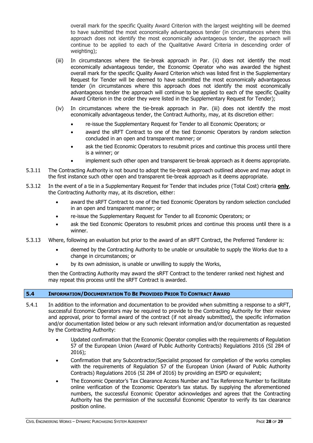overall mark for the specific Quality Award Criterion with the largest weighting will be deemed to have submitted the most economically advantageous tender (in circumstances where this approach does not identify the most economically advantageous tender, the approach will continue to be applied to each of the Qualitative Award Criteria in descending order of weighting);

- (iii) In circumstances where the tie-break approach in Par. (ii) does not identify the most economically advantageous tender, the Economic Operator who was awarded the highest overall mark for the specific Quality Award Criterion which was listed first in the Supplementary Request for Tender will be deemed to have submitted the most economically advantageous tender (in circumstances where this approach does not identify the most economically advantageous tender the approach will continue to be applied to each of the specific Quality Award Criterion in the order they were listed in the Supplementary Request for Tender);
- (iv) In circumstances where the tie-break approach in Par. (iii) does not identify the most economically advantageous tender, the Contract Authority, may, at its discretion either:
	- re-issue the Supplementary Request for Tender to all Economic Operators; or
	- award the sRFT Contract to one of the tied Economic Operators by random selection concluded in an open and transparent manner; or
	- ask the tied Economic Operators to resubmit prices and continue this process until there is a winner; or
	- implement such other open and transparent tie-break approach as it deems appropriate.
- 5.3.11 The Contracting Authority is not bound to adopt the tie-break approach outlined above and may adopt in the first instance such other open and transparent tie-break approach as it deems appropriate.
- 5.3.12 In the event of a tie in a Supplementary Request for Tender that includes price (Total Cost) criteria **only**, the Contracting Authority may, at its discretion, either:
	- award the sRFT Contract to one of the tied Economic Operators by random selection concluded in an open and transparent manner; or
	- re-issue the Supplementary Request for Tender to all Economic Operators; or
	- ask the tied Economic Operators to resubmit prices and continue this process until there is a winner.
- 5.3.13 Where, following an evaluation but prior to the award of an sRFT Contract, the Preferred Tenderer is:
	- deemed by the Contracting Authority to be unable or unsuitable to supply the Works due to a change in circumstances; or
	- by its own admission, is unable or unwilling to supply the Works,

then the Contracting Authority may award the sRFT Contract to the tenderer ranked next highest and may repeat this process until the sRFT Contract is awarded.

### <span id="page-27-0"></span>**5.4 INFORMATION/DOCUMENTATION TO BE PROVIDED PRIOR TO CONTRACT AWARD**

- 5.4.1 In addition to the information and documentation to be provided when submitting a response to a sRFT, successful Economic Operators may be required to provide to the Contracting Authority for their review and approval, prior to formal award of the contract (if not already submitted), the specific information and/or documentation listed below or any such relevant information and/or documentation as requested by the Contracting Authority:
	- Updated confirmation that the Economic Operator complies with the requirements of Regulation 57 of the European Union (Award of Public Authority Contracts) Regulations 2016 (SI 284 of 2016);
	- Confirmation that any Subcontractor/Specialist proposed for completion of the works complies with the requirements of Regulation 57 of the European Union (Award of Public Authority Contracts) Regulations 2016 (SI 284 of 2016) by providing an ESPD or equivalent;
	- The Economic Operator's Tax Clearance Access Number and Tax Reference Number to facilitate online verification of the Economic Operator's tax status. By supplying the aforementioned numbers, the successful Economic Operator acknowledges and agrees that the Contracting Authority has the permission of the successful Economic Operator to verify its tax clearance position online.